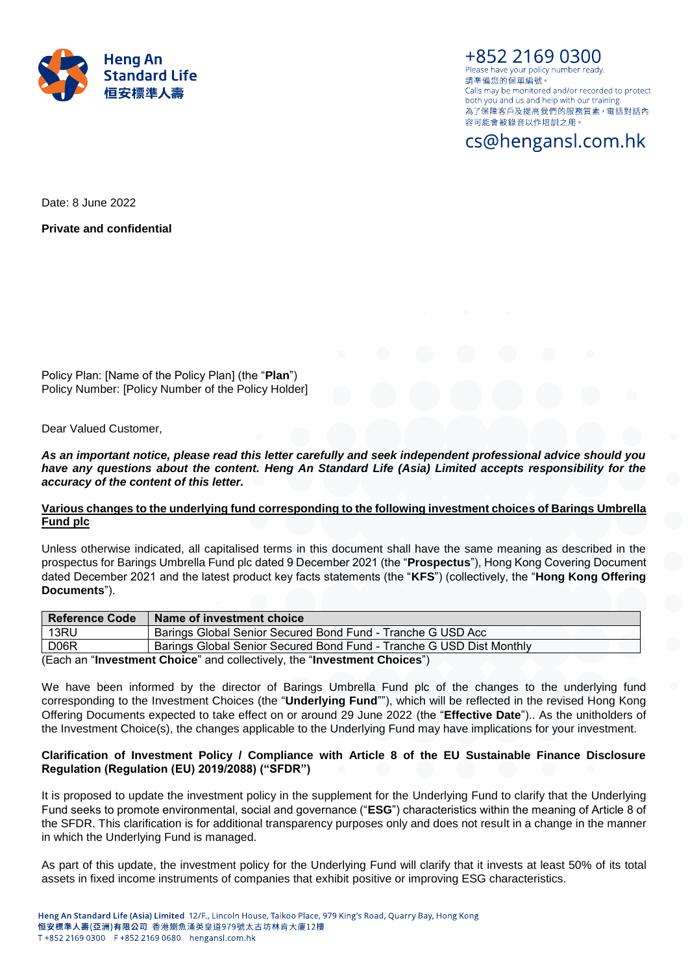

+852 2169 0300 Please have your policy number ready. 請凖備您的保單編號。 Calls may be monitored and/or recorded to protect both you and us and help with our training. 為了保障客戶及提高我們的服務質素, 電話對話內 容可能會被錄音以作培訓之用。

# cs@hengansl.com.hk

Date: 8 June 2022

**Private and confidential**

Policy Plan: [Name of the Policy Plan] (the "**Plan**") Policy Number: [Policy Number of the Policy Holder]

Dear Valued Customer,

*As an important notice, please read this letter carefully and seek independent professional advice should you have any questions about the content. Heng An Standard Life (Asia) Limited accepts responsibility for the accuracy of the content of this letter.*

### **Various changes to the underlying fund corresponding to the following investment choices of Barings Umbrella Fund plc**

Unless otherwise indicated, all capitalised terms in this document shall have the same meaning as described in the prospectus for Barings Umbrella Fund plc dated 9 December 2021 (the "**Prospectus**"), Hong Kong Covering Document dated December 2021 and the latest product key facts statements (the "**KFS**") (collectively, the "**Hong Kong Offering Documents**").

| <b>Reference Code</b>                                                    | Name of investment choice                                            |
|--------------------------------------------------------------------------|----------------------------------------------------------------------|
| 13RU                                                                     | Barings Global Senior Secured Bond Fund - Tranche G USD Acc          |
| D <sub>06</sub> R                                                        | Barings Global Senior Secured Bond Fund - Tranche G USD Dist Monthly |
| (Each an "Investment Choice" and collectively, the "Investment Choices") |                                                                      |

We have been informed by the director of Barings Umbrella Fund plc of the changes to the underlying fund corresponding to the Investment Choices (the "**Underlying Fund**""), which will be reflected in the revised Hong Kong Offering Documents expected to take effect on or around 29 June 2022 (the "**Effective Date**").. As the unitholders of the Investment Choice(s), the changes applicable to the Underlying Fund may have implications for your investment.

## **Clarification of Investment Policy / Compliance with Article 8 of the EU Sustainable Finance Disclosure Regulation (Regulation (EU) 2019/2088) ("SFDR")**

It is proposed to update the investment policy in the supplement for the Underlying Fund to clarify that the Underlying Fund seeks to promote environmental, social and governance ("**ESG**") characteristics within the meaning of Article 8 of the SFDR. This clarification is for additional transparency purposes only and does not result in a change in the manner in which the Underlying Fund is managed.

As part of this update, the investment policy for the Underlying Fund will clarify that it invests at least 50% of its total assets in fixed income instruments of companies that exhibit positive or improving ESG characteristics.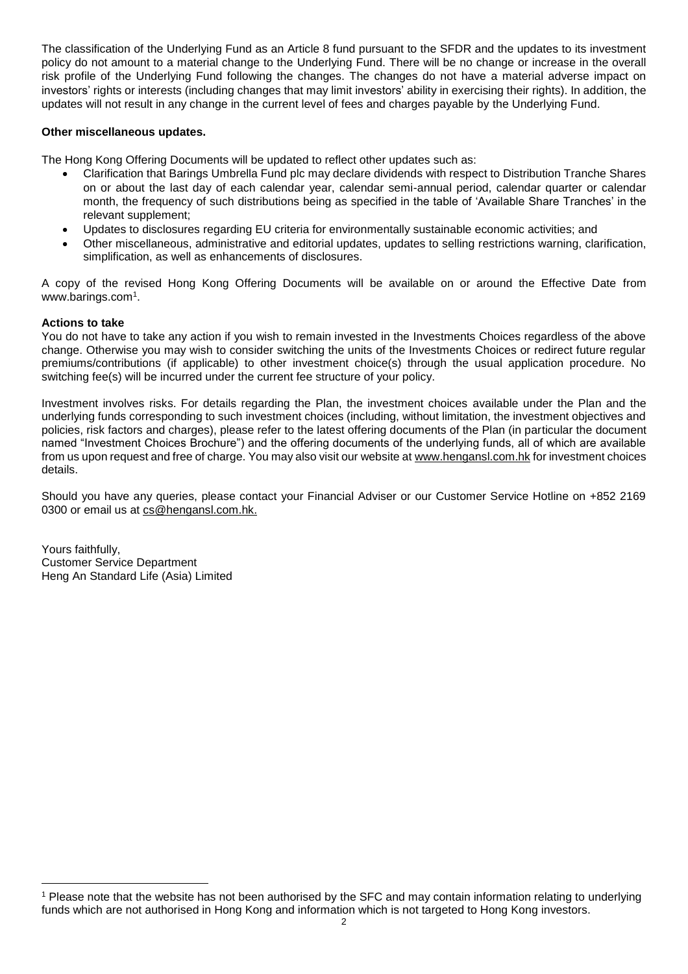The classification of the Underlying Fund as an Article 8 fund pursuant to the SFDR and the updates to its investment policy do not amount to a material change to the Underlying Fund. There will be no change or increase in the overall risk profile of the Underlying Fund following the changes. The changes do not have a material adverse impact on investors' rights or interests (including changes that may limit investors' ability in exercising their rights). In addition, the updates will not result in any change in the current level of fees and charges payable by the Underlying Fund.

## **Other miscellaneous updates.**

The Hong Kong Offering Documents will be updated to reflect other updates such as:

- Clarification that Barings Umbrella Fund plc may declare dividends with respect to Distribution Tranche Shares on or about the last day of each calendar year, calendar semi-annual period, calendar quarter or calendar month, the frequency of such distributions being as specified in the table of 'Available Share Tranches' in the relevant supplement;
- Updates to disclosures regarding EU criteria for environmentally sustainable economic activities; and
- Other miscellaneous, administrative and editorial updates, updates to selling restrictions warning, clarification, simplification, as well as enhancements of disclosures.

A copy of the revised Hong Kong Offering Documents will be available on or around the Effective Date from www.barings.com<sup>1</sup> .

# **Actions to take**

 $\overline{a}$ 

You do not have to take any action if you wish to remain invested in the Investments Choices regardless of the above change. Otherwise you may wish to consider switching the units of the Investments Choices or redirect future regular premiums/contributions (if applicable) to other investment choice(s) through the usual application procedure. No switching fee(s) will be incurred under the current fee structure of your policy.

Investment involves risks. For details regarding the Plan, the investment choices available under the Plan and the underlying funds corresponding to such investment choices (including, without limitation, the investment objectives and policies, risk factors and charges), please refer to the latest offering documents of the Plan (in particular the document named "Investment Choices Brochure") and the offering documents of the underlying funds, all of which are available from us upon request and free of charge. You may also visit our website a[t www.hengansl.com.hk](http://www.hengansl.com.hk/) for investment choices details.

Should you have any queries, please contact your Financial Adviser or our Customer Service Hotline on +852 2169 0300 or email us at [cs@hengansl.com.hk.](mailto:cs@hengansl.com.hk)

Yours faithfully, Customer Service Department Heng An Standard Life (Asia) Limited

<sup>1</sup> Please note that the website has not been authorised by the SFC and may contain information relating to underlying funds which are not authorised in Hong Kong and information which is not targeted to Hong Kong investors.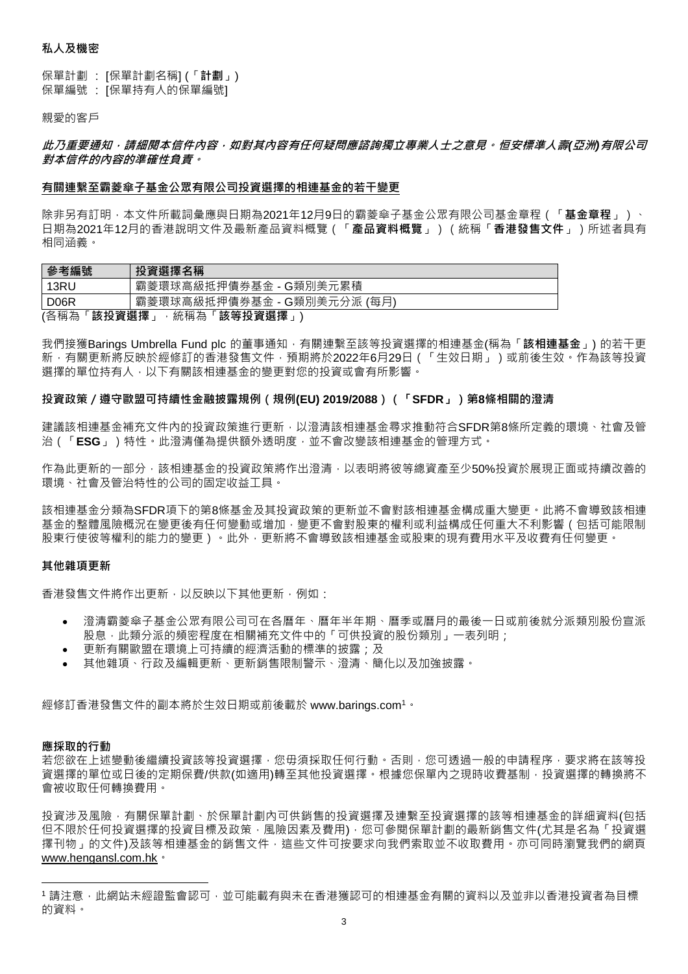### **私人及機密**

保單計劃 : [保單計劃名稱] (「**計劃**」) 保單編號 : [保單持有人的保單編號]

親愛的客戶

## **此乃重要通知,請細閱本信件內容,如對其內容有任何疑問應諮詢獨立專業人士之意見。恒安標準人壽***(***亞洲***)***有限公司 對本信件的內容的準確性負責。**

#### **有關連繫至霸菱傘子基金公眾有限公司投資選擇的相連基金的若干變更**

除非另有訂明,本文件所載詞彙應與日期為2021年12月9日的霸菱傘子基金公眾有限公司基金章程(「**基金章程**」)、 日期為2021年12月的香港說明文件及最新產品資料概覽(「**產品資料概覽**」)(統稱「**香港發售文件**」)所述者具有 相同涵義。

| 參考編號                           | 投資選擇名稱                        |
|--------------------------------|-------------------------------|
| 13RU                           | 霸菱環球高級抵押債券基金 - G類別美元累積        |
| D <sub>06</sub> R              | 霸菱環球高級抵押債券基金 - G類別美元分派<br>(每月 |
| (各稱為<br>該投資選擇<br>該等投資選擇<br>統稱為 |                               |

我們接獲Barings Umbrella Fund plc 的董事通知<sup>,</sup>有關連繫至該等投資選擇的相連基金(稱為「**該相連基金**」) 的若干更 新,有關更新將反映於經修訂的香港發售文件,預期將於2022年6月29日 (「生效日期」 ) 或前後生效。作為該等投資 選擇的單位持有人,以下有關該相連基金的變更對您的投資或會有所影響。

#### **投資政策/遵守歐盟可持續性金融披露規例(規例(EU) 2019/2088)(「SFDR」)第8條相關的澄清**

建議該相連基金補充文件內的投資政策進行更新,以澄清該相連基金尋求推動符合SFDR第8條所定義的環境、社會及管 治(「**ESG**」)特性。此澄清僅為提供額外透明度,並不會改變該相連基金的管理方式。

作為此更新的一部分,該相連基金的投資政策將作出澄清,以表明將彼等總資產至少50%投資於展現正面或持續改善的 環境、社會及管治特性的公司的固定收益工具。

該相連基金分類為SFDR項下的第8條基金及其投資政策的更新並不會對該相連基金構成重大變更。此將不會導致該相連 基金的整體風險概況在變更後有任何變動或增加,變更不會對股東的權利或利益構成任何重大不利影響 (包括可能限制 股東行使彼等權利的能力的變更)。此外,更新將不會導致該相連基金或股東的現有費用水平及收費有任何變更。

#### **其他雜項更新**

香港發售文件將作出更新,以反映以下其他更新,例如:

- 澄清霸菱傘子基金公眾有限公司可在各曆年、曆年半年期、曆季或曆月的最後一日或前後就分派類別股份宣派 股息,此類分派的頻密程度在相關補充文件中的「可供投資的股份類別」一表列明;
- 更新有關歐盟在環境上可持續的經濟活動的標準的披露;及
- 其他雜項、行政及編輯更新、更新銷售限制警示、澄清、簡化以及加強披露。

經修訂香港發售文件的副本將於生效日期或前後載於 www.barings.com<sup>1</sup>。

#### **應採取的行動**

 $\overline{a}$ 

若您欲在上述變動後繼續投資該等投資選擇,您毋須採取任何行動。否則,您可透過一般的申請程序,要求將在該等投 資選擇的單位或日後的定期保費/供款(如適用)轉至其他投資選擇。根據您保單內之現時收費基制,投資選擇的轉換將不 會被收取任何轉換費用。

投資涉及風險,有關保單計劃、於保單計劃內可供銷售的投資選擇及連繫至投資選擇的該等相連基金的詳細資料(包括 但不限於任何投資選擇的投資目標及政策,風險因素及費用),您可參閱保單計劃的最新銷售文件(尤其是名為「投資選 擇刊物」的文件)及該等相連基金的銷售文件,這些文件可按要求向我們索取並不收取費用。亦可同時瀏覽我們的網頁 [www.hengansl.com.hk](file://///slafp1/PD%20&%20COM/Investment%20Proposition/Fund%20Corporate%20Action/1%20Hong%20Kong/2021/WORKING/20211001_Aberdeen/Customer%20Letter/www.hengansl.com.hk)。

<sup>1</sup> 請注意 · 此網站未經證監會認可 · 並可能載有與未在香港獲認可的相連基金有關的資料以及並非以香港投資者為目標 的資料。